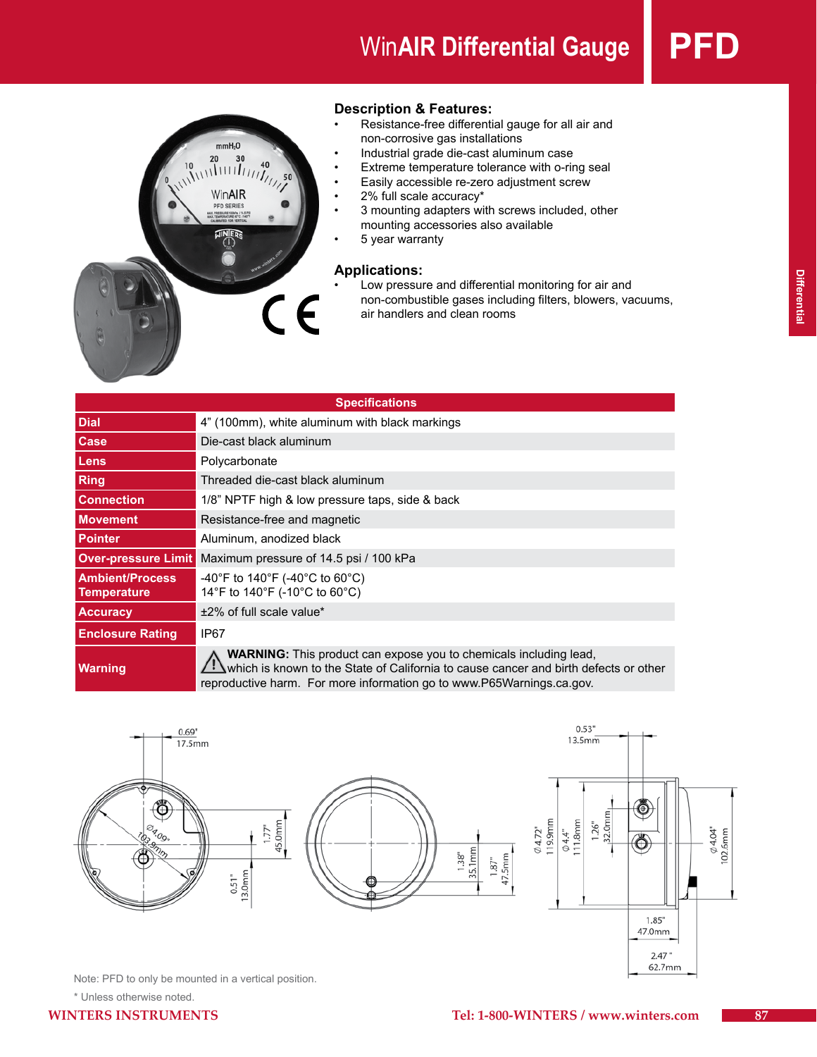# **WinAIR Differential Gauge | PFI**



# **Description & Features:**

- Resistance-free differential gauge for all air and non-corrosive gas installations
- Industrial grade die-cast aluminum case
- Extreme temperature tolerance with o-ring seal
- Easily accessible re-zero adjustment screw
- 2% full scale accuracy\*
- • 3 mounting adapters with screws included, other mounting accessories also available
	- 5 year warranty

# **Applications:**

Low pressure and differential monitoring for air and non-combustible gases including filters, blowers, vacuums, air handlers and clean rooms

| <b>Specifications</b>                        |                                                                                                                                                                                                                                    |  |  |
|----------------------------------------------|------------------------------------------------------------------------------------------------------------------------------------------------------------------------------------------------------------------------------------|--|--|
| <b>Dial</b>                                  | 4" (100mm), white aluminum with black markings                                                                                                                                                                                     |  |  |
| Case                                         | Die-cast black aluminum                                                                                                                                                                                                            |  |  |
| Lens                                         | Polycarbonate                                                                                                                                                                                                                      |  |  |
| Ring                                         | Threaded die-cast black aluminum                                                                                                                                                                                                   |  |  |
| <b>Connection</b>                            | 1/8" NPTF high & low pressure taps, side & back                                                                                                                                                                                    |  |  |
| <b>Movement</b>                              | Resistance-free and magnetic                                                                                                                                                                                                       |  |  |
| <b>Pointer</b>                               | Aluminum, anodized black                                                                                                                                                                                                           |  |  |
| <b>Over-pressure Limit</b>                   | Maximum pressure of 14.5 psi / 100 kPa                                                                                                                                                                                             |  |  |
| <b>Ambient/Process</b><br><b>Temperature</b> | -40°F to 140°F (-40°C to 60°C)<br>14°F to 140°F (-10°C to 60°C)                                                                                                                                                                    |  |  |
| <b>Accuracy</b>                              | ±2% of full scale value*                                                                                                                                                                                                           |  |  |
| <b>Enclosure Rating</b>                      | IP67                                                                                                                                                                                                                               |  |  |
| <b>Warning</b>                               | WARNING: This product can expose you to chemicals including lead,<br>which is known to the State of California to cause cancer and birth defects or other<br>reproductive harm. For more information go to www.P65Warnings.ca.gov. |  |  |



Note: PFD to only be mounted in a vertical position.

\* Unless otherwise noted.

62.7mm